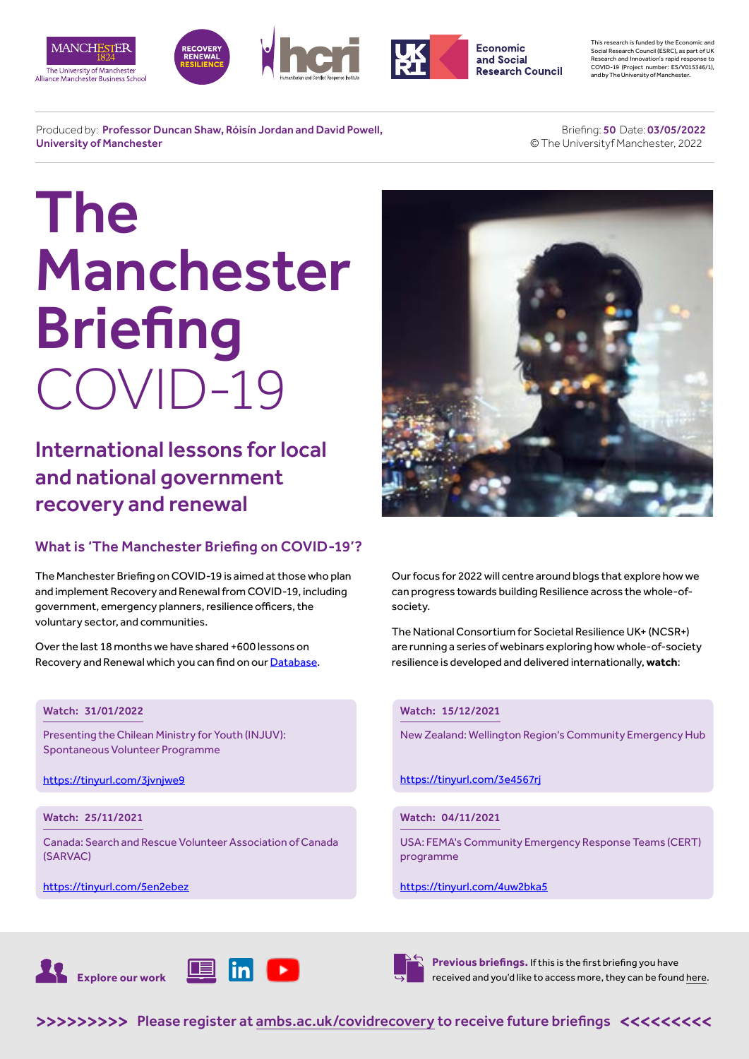







This research is funded by the Economic and Social Research Council (ESRC), as part of UK Research and Innovation's rapid response to COVID-19 (Project number: ES/V015346/1), and by The University of Manchester.

Produced by: Professor Duncan Shaw, Róisín Jordan and David Powell, University of Manchester

#### Briefing: 50 Date: 03/05/2022 © The Universityf Manchester, 2022

# The Manchester **Briefing** COVID-19

International lessons for local and national government recovery and renewal

# What is 'The Manchester Briefing on COVID-19'?

The Manchester Briefing on COVID-19 is aimed at those who plan and implement Recovery and Renewal from COVID-19, including government, emergency planners, resilience officers, the voluntary sector, and communities.

Over the last 18 months we have shared +600 lessons on Recovery and Renewal which you can find on our [Database](https://recoverydatabase.manchester.ac.uk/lessons/).

### Watch: 31/01/2022

Presenting the Chilean Ministry for Youth (INJUV): Spontaneous Volunteer Programme

<https://tinyurl.com/3jvnjwe9>

# Watch: 25/11/2021

Canada: Search and Rescue Volunteer Association of Canada (SARVAC)

<https://tinyurl.com/5en2ebez>



Our focus for 2022 will centre around blogs that explore how we can progress towards building Resilience across the whole-ofsociety.

The National Consortium for Societal Resilience UK+ (NCSR+) are running a series of webinars exploring how whole-of-society resilience is developed and delivered internationally, **watch**:

#### Watch: 15/12/2021

New Zealand: Wellington Region's Community Emergency Hub

<https://tinyurl.com/3e4567rj>

# Watch: 04/11/2021

USA: FEMA's Community Emergency Response Teams (CERT) programme

#### https://tinyurl.com/4uw2bka5





**Previous briefings.** If this is the first briefing you have received and you'd like to access more, they can be found [here](https://www.alliancembs.manchester.ac.uk/research/recovery-renewal-resilience-from-covid-19/briefings/).

>>>>>>>>> [Please register at ambs.ac.uk/covidrecovery to receive future briefings](https://www.alliancembs.manchester.ac.uk/research/recovery-renewal-resilience-from-covid-19/) <<<<<<<<<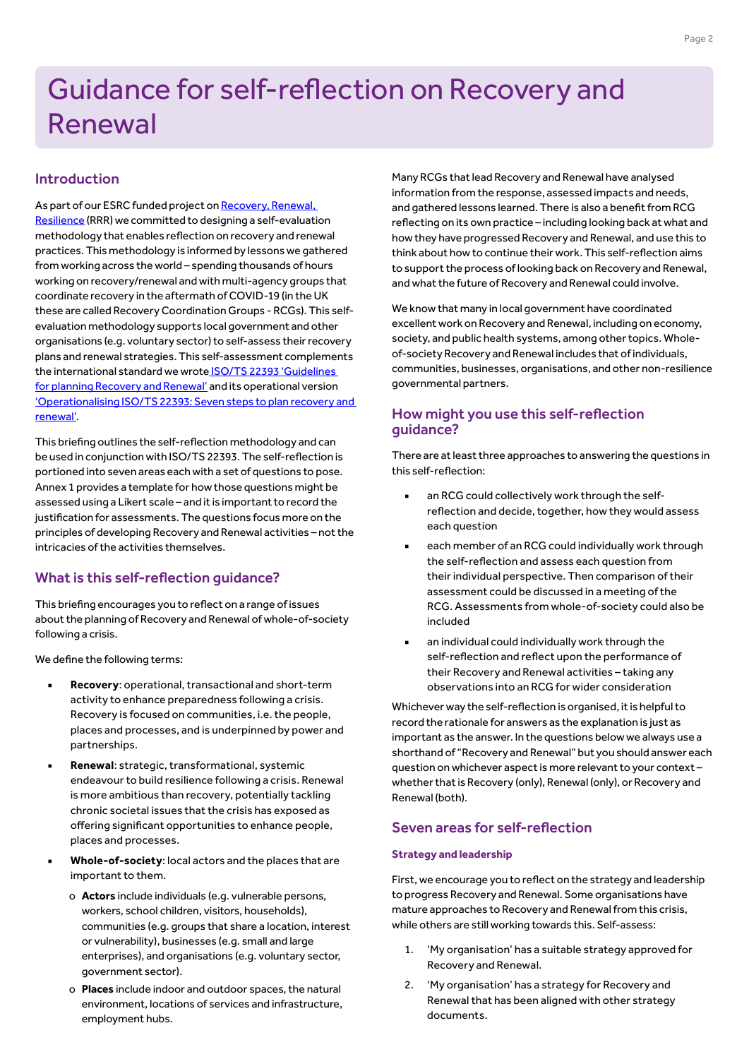# Guidance for self-reflection on Recovery and Renewal

# Introduction

As part of our ESRC funded project on Recovery, Renewal, [Resilience](https://www.alliancembs.manchester.ac.uk/research/recovery-renewal-resilience-from-covid-19/briefings/) (RRR) we committed to designing a self-evaluation methodology that enables reflection on recovery and renewal practices. This methodology is informed by lessons we gathered from working across the world – spending thousands of hours working on recovery/renewal and with multi-agency groups that coordinate recovery in the aftermath of COVID-19 (in the UK these are called Recovery Coordination Groups - RCGs). This selfevaluation methodology supports local government and other organisations (e.g. voluntary sector) to self-assess their recovery plans and renewal strategies. This self-assessment complements the international standard we wrot[e ISO/TS 22393 'Guidelines](https://www.alliancembs.manchester.ac.uk/media/ambs/content-assets/documents/news/the-manchester-briefing-on-covid-19-b39-wb-5th-july-2021.pdf)  [for planning Recovery and Renewal'](https://www.alliancembs.manchester.ac.uk/media/ambs/content-assets/documents/news/the-manchester-briefing-on-covid-19-b39-wb-5th-july-2021.pdf) and its operational version ['Operationalising ISO/TS 22393: Seven steps to plan recovery and](https://www.alliancembs.manchester.ac.uk/media/ambs/content-assets/documents/news/the-manchester-briefing-on-covid-19-B49-1-april-2022.pdf)  [renewal'](https://www.alliancembs.manchester.ac.uk/media/ambs/content-assets/documents/news/the-manchester-briefing-on-covid-19-B49-1-april-2022.pdf).

This briefing outlines the self-reflection methodology and can be used in conjunction with ISO/TS 22393. The self-reflection is portioned into seven areas each with a set of questions to pose. Annex 1 provides a template for how those questions might be assessed using a Likert scale – and it is important to record the justification for assessments. The questions focus more on the principles of developing Recovery and Renewal activities – not the intricacies of the activities themselves.

# What is this self-reflection guidance?

This briefing encourages you to reflect on a range of issues about the planning of Recovery and Renewal of whole-of-society following a crisis.

We define the following terms:

- **Recovery:** operational, transactional and short-term activity to enhance preparedness following a crisis. Recovery is focused on communities, i.e. the people, places and processes, and is underpinned by power and partnerships.
- **Renewal:** strategic, transformational, systemic endeavour to build resilience following a crisis. Renewal is more ambitious than recovery, potentially tackling chronic societal issues that the crisis has exposed as offering significant opportunities to enhance people, places and processes.
- Whole-of-society: local actors and the places that are important to them.
	- o **Actors** include individuals (e.g. vulnerable persons, workers, school children, visitors, households), communities (e.g. groups that share a location, interest or vulnerability), businesses (e.g. small and large enterprises), and organisations (e.g. voluntary sector, government sector).
	- o **Places** include indoor and outdoor spaces, the natural environment, locations of services and infrastructure, employment hubs.

Many RCGs that lead Recovery and Renewal have analysed information from the response, assessed impacts and needs, and gathered lessons learned. There is also a benefit from RCG reflecting on its own practice – including looking back at what and how they have progressed Recovery and Renewal, and use this to think about how to continue their work. This self-reflection aims to support the process of looking back on Recovery and Renewal, and what the future of Recovery and Renewal could involve.

We know that many in local government have coordinated excellent work on Recovery and Renewal, including on economy, society, and public health systems, among other topics. Wholeof-society Recovery and Renewal includes that of individuals, communities, businesses, organisations, and other non-resilience governmental partners.

# How might you use this self-reflection guidance?

There are at least three approaches to answering the questions in this self-reflection:

- an RCG could collectively work through the selfreflection and decide, together, how they would assess each question
- each member of an RCG could individually work through the self-reflection and assess each question from their individual perspective. Then comparison of their assessment could be discussed in a meeting of the RCG. Assessments from whole-of-society could also be included
- an individual could individually work through the self-reflection and reflect upon the performance of their Recovery and Renewal activities – taking any observations into an RCG for wider consideration

Whichever way the self-reflection is organised, it is helpful to record the rationale for answers as the explanation is just as important as the answer. In the questions below we always use a shorthand of "Recovery and Renewal" but you should answer each question on whichever aspect is more relevant to your context – whether that is Recovery (only), Renewal (only), or Recovery and Renewal (both).

# Seven areas for self-reflection

#### **Strategy and leadership**

First, we encourage you to reflect on the strategy and leadership to progress Recovery and Renewal. Some organisations have mature approaches to Recovery and Renewal from this crisis, while others are still working towards this. Self-assess:

- 1. 'My organisation' has a suitable strategy approved for Recovery and Renewal.
- 2. 'My organisation' has a strategy for Recovery and Renewal that has been aligned with other strategy documents.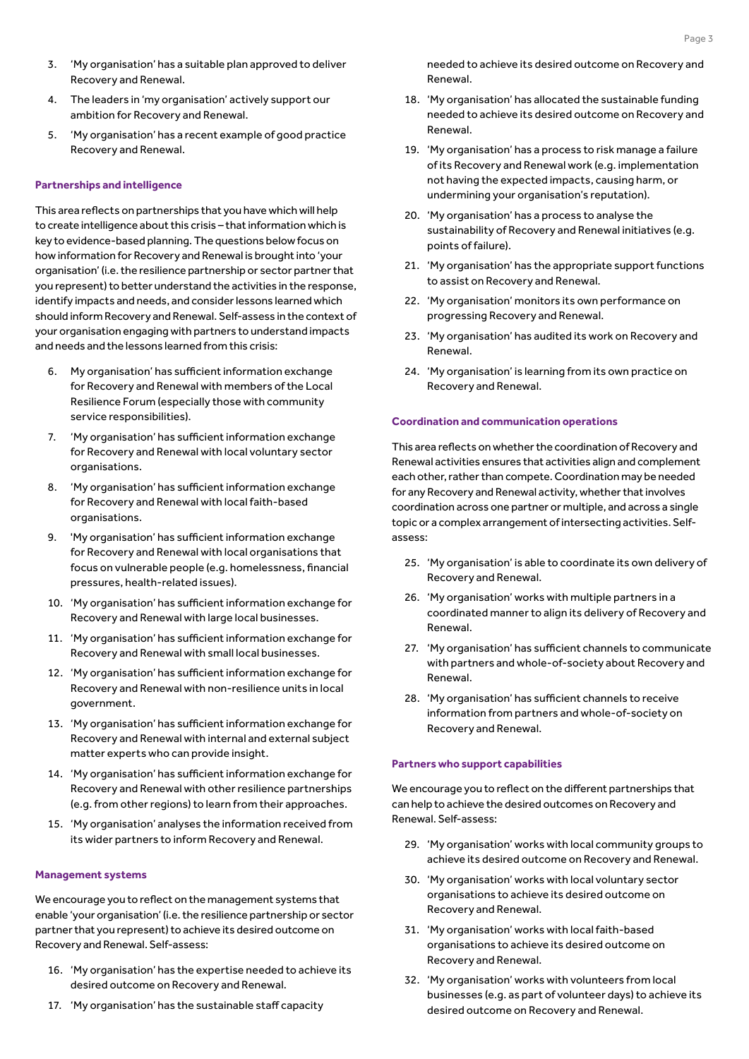- 3. 'My organisation' has a suitable plan approved to deliver Recovery and Renewal.
- 4. The leaders in 'my organisation' actively support our ambition for Recovery and Renewal.
- 5. 'My organisation' has a recent example of good practice Recovery and Renewal.

#### **Partnerships and intelligence**

This area reflects on partnerships that you have which will help to create intelligence about this crisis – that information which is key to evidence-based planning. The questions below focus on how information for Recovery and Renewal is brought into 'your organisation' (i.e. the resilience partnership or sector partner that you represent) to better understand the activities in the response, identify impacts and needs, and consider lessons learned which should inform Recovery and Renewal. Self-assess in the context of your organisation engaging with partners to understand impacts and needs and the lessons learned from this crisis:

- 6. My organisation' has sufficient information exchange for Recovery and Renewal with members of the Local Resilience Forum (especially those with community service responsibilities).
- 7. 'My organisation' has sufficient information exchange for Recovery and Renewal with local voluntary sector organisations.
- 8. 'My organisation' has sufficient information exchange for Recovery and Renewal with local faith-based organisations.
- 9. 'My organisation' has sufficient information exchange for Recovery and Renewal with local organisations that focus on vulnerable people (e.g. homelessness, financial pressures, health-related issues).
- 10. 'My organisation' has sufficient information exchange for Recovery and Renewal with large local businesses.
- 11. 'My organisation' has sufficient information exchange for Recovery and Renewal with small local businesses.
- 12. 'My organisation' has sufficient information exchange for Recovery and Renewal with non-resilience units in local government.
- 13. 'My organisation' has sufficient information exchange for Recovery and Renewal with internal and external subject matter experts who can provide insight.
- 14. 'My organisation' has sufficient information exchange for Recovery and Renewal with other resilience partnerships (e.g. from other regions) to learn from their approaches.
- 15. 'My organisation' analyses the information received from its wider partners to inform Recovery and Renewal.

#### **Management systems**

We encourage you to reflect on the management systems that enable 'your organisation' (i.e. the resilience partnership or sector partner that you represent) to achieve its desired outcome on Recovery and Renewal. Self-assess:

- 16. 'My organisation' has the expertise needed to achieve its desired outcome on Recovery and Renewal.
- 17. 'My organisation' has the sustainable staff capacity

needed to achieve its desired outcome on Recovery and Renewal.

- 18. 'My organisation' has allocated the sustainable funding needed to achieve its desired outcome on Recovery and Renewal.
- 19. 'My organisation' has a process to risk manage a failure of its Recovery and Renewal work (e.g. implementation not having the expected impacts, causing harm, or undermining your organisation's reputation).
- 20. 'My organisation' has a process to analyse the sustainability of Recovery and Renewal initiatives (e.g. points of failure).
- 21. 'My organisation' has the appropriate support functions to assist on Recovery and Renewal.
- 22. 'My organisation' monitors its own performance on progressing Recovery and Renewal.
- 23. 'My organisation' has audited its work on Recovery and Renewal.
- 24. 'My organisation' is learning from its own practice on Recovery and Renewal.

#### **Coordination and communication operations**

This area reflects on whether the coordination of Recovery and Renewal activities ensures that activities align and complement each other, rather than compete. Coordination may be needed for any Recovery and Renewal activity, whether that involves coordination across one partner or multiple, and across a single topic or a complex arrangement of intersecting activities. Selfassess:

- 25. 'My organisation' is able to coordinate its own delivery of Recovery and Renewal.
- 26. 'My organisation' works with multiple partners in a coordinated manner to align its delivery of Recovery and Renewal.
- 27. 'My organisation' has sufficient channels to communicate with partners and whole-of-society about Recovery and Renewal.
- 28. 'My organisation' has sufficient channels to receive information from partners and whole-of-society on Recovery and Renewal.

#### **Partners who support capabilities**

We encourage you to reflect on the different partnerships that can help to achieve the desired outcomes on Recovery and Renewal. Self-assess:

- 29. 'My organisation' works with local community groups to achieve its desired outcome on Recovery and Renewal.
- 30. 'My organisation' works with local voluntary sector organisations to achieve its desired outcome on Recovery and Renewal.
- 31. 'My organisation' works with local faith-based organisations to achieve its desired outcome on Recovery and Renewal.
- 32. 'My organisation' works with volunteers from local businesses (e.g. as part of volunteer days) to achieve its desired outcome on Recovery and Renewal.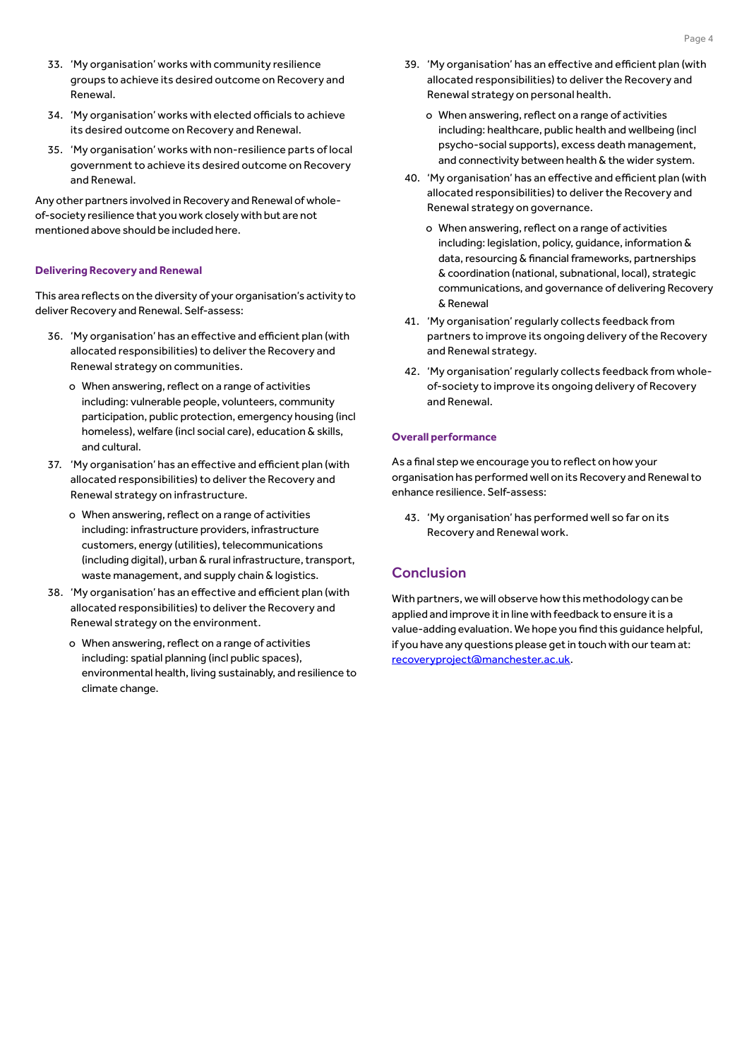- 33. 'My organisation' works with community resilience groups to achieve its desired outcome on Recovery and Renewal.
- 34. 'My organisation' works with elected officials to achieve its desired outcome on Recovery and Renewal.
- 35. 'My organisation' works with non-resilience parts of local government to achieve its desired outcome on Recovery and Renewal.

Any other partners involved in Recovery and Renewal of wholeof-society resilience that you work closely with but are not mentioned above should be included here.

#### **Delivering Recovery and Renewal**

This area reflects on the diversity of your organisation's activity to deliver Recovery and Renewal. Self-assess:

- 36. 'My organisation' has an effective and efficient plan (with allocated responsibilities) to deliver the Recovery and Renewal strategy on communities.
	- o When answering, reflect on a range of activities including: vulnerable people, volunteers, community participation, public protection, emergency housing (incl homeless), welfare (incl social care), education & skills, and cultural.
- 37. 'My organisation' has an effective and efficient plan (with allocated responsibilities) to deliver the Recovery and Renewal strategy on infrastructure.
	- o When answering, reflect on a range of activities including: infrastructure providers, infrastructure customers, energy (utilities), telecommunications (including digital), urban & rural infrastructure, transport, waste management, and supply chain & logistics.
- 38. 'My organisation' has an effective and efficient plan (with allocated responsibilities) to deliver the Recovery and Renewal strategy on the environment.
	- o When answering, reflect on a range of activities including: spatial planning (incl public spaces), environmental health, living sustainably, and resilience to climate change.
- 39. 'My organisation' has an effective and efficient plan (with allocated responsibilities) to deliver the Recovery and Renewal strategy on personal health.
	- o When answering, reflect on a range of activities including: healthcare, public health and wellbeing (incl psycho-social supports), excess death management, and connectivity between health & the wider system.
- 40. 'My organisation' has an effective and efficient plan (with allocated responsibilities) to deliver the Recovery and Renewal strategy on governance.
	- o When answering, reflect on a range of activities including: legislation, policy, guidance, information & data, resourcing & financial frameworks, partnerships & coordination (national, subnational, local), strategic communications, and governance of delivering Recovery & Renewal
- 41. 'My organisation' regularly collects feedback from partners to improve its ongoing delivery of the Recovery and Renewal strategy.
- 42. 'My organisation' regularly collects feedback from wholeof-society to improve its ongoing delivery of Recovery and Renewal.

#### **Overall performance**

As a final step we encourage you to reflect on how your organisation has performed well on its Recovery and Renewal to enhance resilience. Self-assess:

43. 'My organisation' has performed well so far on its Recovery and Renewal work.

# **Conclusion**

With partners, we will observe how this methodology can be applied and improve it in line with feedback to ensure it is a value-adding evaluation. We hope you find this guidance helpful, if you have any questions please get in touch with our team at: [recoveryproject@manchester.ac.uk](mailto:recoveryproject%40manchester.ac.uk?subject=).